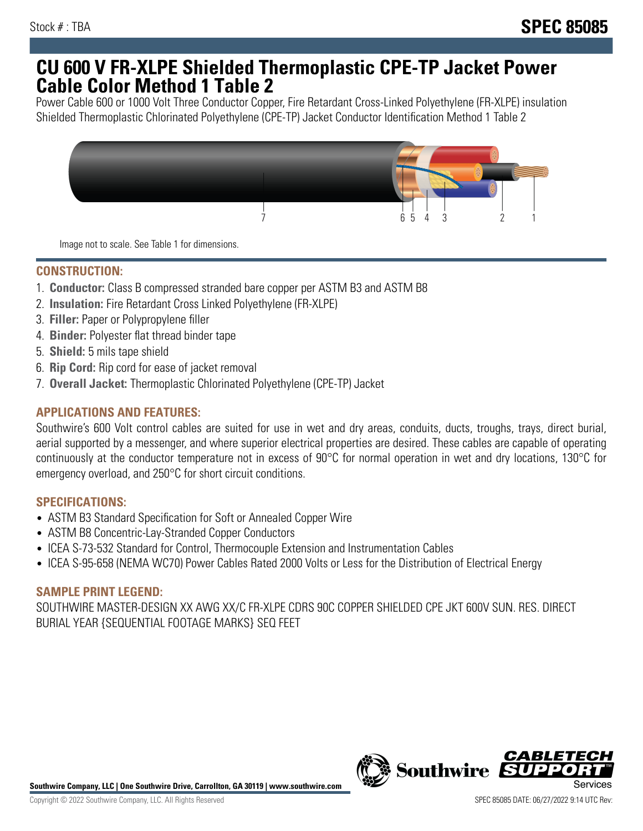## **CU 600 V FR-XLPE Shielded Thermoplastic CPE-TP Jacket Power Cable Color Method 1 Table 2**

Power Cable 600 or 1000 Volt Three Conductor Copper, Fire Retardant Cross-Linked Polyethylene (FR-XLPE) insulation Shielded Thermoplastic Chlorinated Polyethylene (CPE-TP) Jacket Conductor Identification Method 1 Table 2



Image not to scale. See Table 1 for dimensions.

## **CONSTRUCTION:**

- 1. **Conductor:** Class B compressed stranded bare copper per ASTM B3 and ASTM B8
- 2. **Insulation:** Fire Retardant Cross Linked Polyethylene (FR-XLPE)
- 3. **Filler:** Paper or Polypropylene filler
- 4. **Binder:** Polyester flat thread binder tape
- 5. **Shield:** 5 mils tape shield
- 6. **Rip Cord:** Rip cord for ease of jacket removal
- 7. **Overall Jacket:** Thermoplastic Chlorinated Polyethylene (CPE-TP) Jacket

### **APPLICATIONS AND FEATURES:**

Southwire's 600 Volt control cables are suited for use in wet and dry areas, conduits, ducts, troughs, trays, direct burial, aerial supported by a messenger, and where superior electrical properties are desired. These cables are capable of operating continuously at the conductor temperature not in excess of 90°C for normal operation in wet and dry locations, 130°C for emergency overload, and 250°C for short circuit conditions.

#### **SPECIFICATIONS:**

- ASTM B3 Standard Specification for Soft or Annealed Copper Wire
- ASTM B8 Concentric-Lay-Stranded Copper Conductors
- ICEA S-73-532 Standard for Control, Thermocouple Extension and Instrumentation Cables
- ICEA S-95-658 (NEMA WC70) Power Cables Rated 2000 Volts or Less for the Distribution of Electrical Energy

#### **SAMPLE PRINT LEGEND:**

SOUTHWIRE MASTER-DESIGN XX AWG XX/C FR-XLPE CDRS 90C COPPER SHIELDED CPE JKT 600V SUN. RES. DIRECT BURIAL YEAR {SEQUENTIAL FOOTAGE MARKS} SEQ FEET